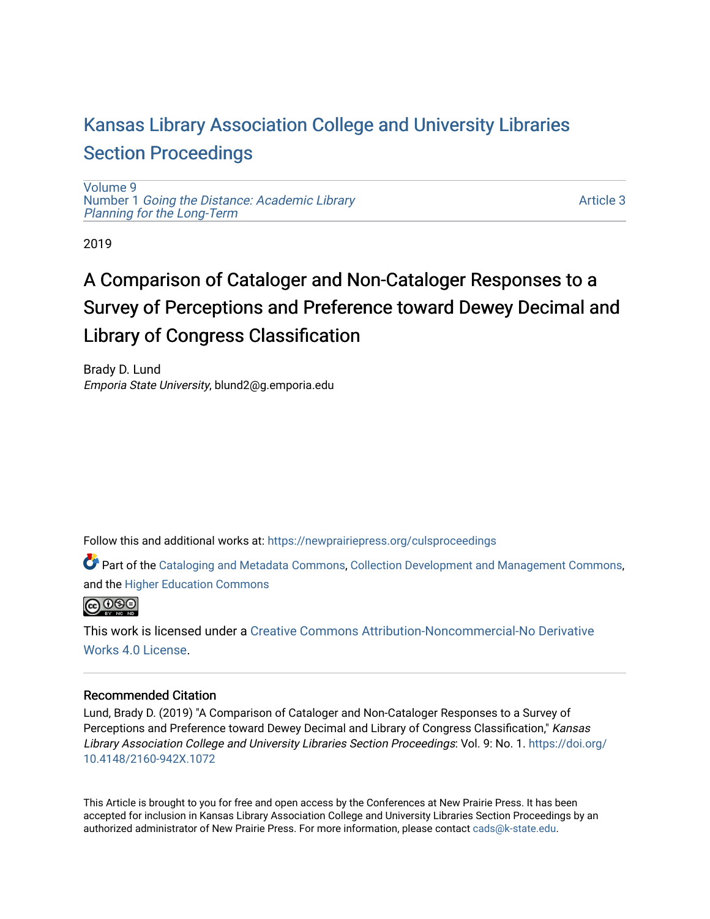## [Kansas Library Association College and University Libraries](https://newprairiepress.org/culsproceedings)  [Section Proceedings](https://newprairiepress.org/culsproceedings)

[Volume 9](https://newprairiepress.org/culsproceedings/vol9) Number 1 [Going the Distance: Academic Library](https://newprairiepress.org/culsproceedings/vol9/iss1)  [Planning for the Long-Term](https://newprairiepress.org/culsproceedings/vol9/iss1) 

[Article 3](https://newprairiepress.org/culsproceedings/vol9/iss1/3) 

2019

# A Comparison of Cataloger and Non-Cataloger Responses to a Survey of Perceptions and Preference toward Dewey Decimal and Library of Congress Classification

Brady D. Lund Emporia State University, blund2@g.emporia.edu

Follow this and additional works at: [https://newprairiepress.org/culsproceedings](https://newprairiepress.org/culsproceedings?utm_source=newprairiepress.org%2Fculsproceedings%2Fvol9%2Fiss1%2F3&utm_medium=PDF&utm_campaign=PDFCoverPages)

Part of the [Cataloging and Metadata Commons,](http://network.bepress.com/hgg/discipline/1270?utm_source=newprairiepress.org%2Fculsproceedings%2Fvol9%2Fiss1%2F3&utm_medium=PDF&utm_campaign=PDFCoverPages) [Collection Development and Management Commons,](http://network.bepress.com/hgg/discipline/1271?utm_source=newprairiepress.org%2Fculsproceedings%2Fvol9%2Fiss1%2F3&utm_medium=PDF&utm_campaign=PDFCoverPages) and the [Higher Education Commons](http://network.bepress.com/hgg/discipline/1245?utm_source=newprairiepress.org%2Fculsproceedings%2Fvol9%2Fiss1%2F3&utm_medium=PDF&utm_campaign=PDFCoverPages)



This work is licensed under a [Creative Commons Attribution-Noncommercial-No Derivative](https://creativecommons.org/licenses/by-nc-nd/4.0/)  [Works 4.0 License](https://creativecommons.org/licenses/by-nc-nd/4.0/).

## Recommended Citation

Lund, Brady D. (2019) "A Comparison of Cataloger and Non-Cataloger Responses to a Survey of Perceptions and Preference toward Dewey Decimal and Library of Congress Classification," Kansas Library Association College and University Libraries Section Proceedings: Vol. 9: No. 1. [https://doi.org/](https://doi.org/10.4148/2160-942X.1072) [10.4148/2160-942X.1072](https://doi.org/10.4148/2160-942X.1072) 

This Article is brought to you for free and open access by the Conferences at New Prairie Press. It has been accepted for inclusion in Kansas Library Association College and University Libraries Section Proceedings by an authorized administrator of New Prairie Press. For more information, please contact [cads@k-state.edu.](mailto:cads@k-state.edu)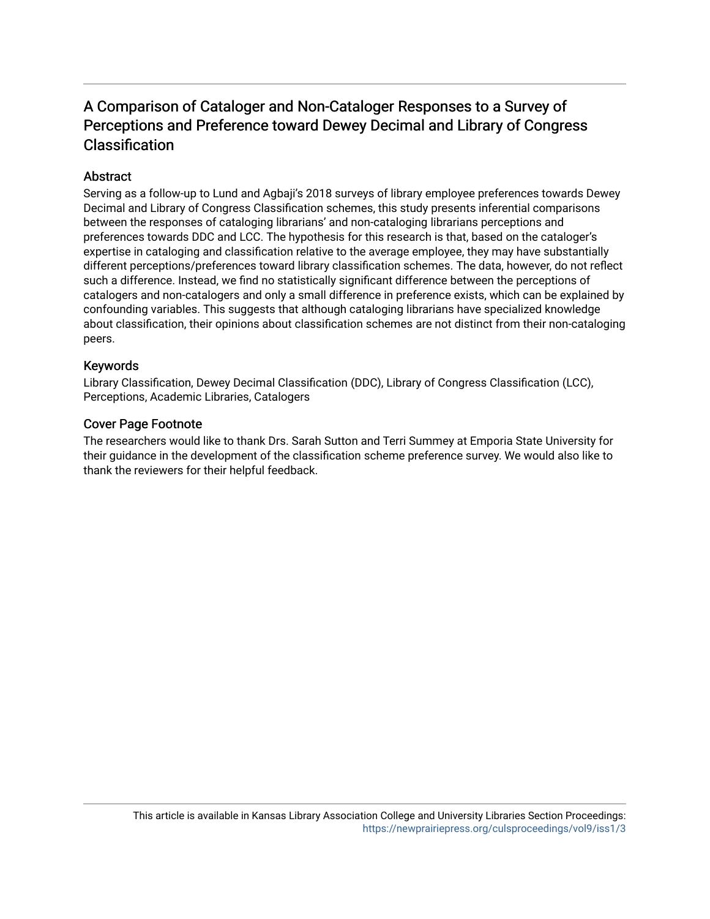## A Comparison of Cataloger and Non-Cataloger Responses to a Survey of Perceptions and Preference toward Dewey Decimal and Library of Congress Classification

## **Abstract**

Serving as a follow-up to Lund and Agbaji's 2018 surveys of library employee preferences towards Dewey Decimal and Library of Congress Classification schemes, this study presents inferential comparisons between the responses of cataloging librarians' and non-cataloging librarians perceptions and preferences towards DDC and LCC. The hypothesis for this research is that, based on the cataloger's expertise in cataloging and classification relative to the average employee, they may have substantially different perceptions/preferences toward library classification schemes. The data, however, do not reflect such a difference. Instead, we find no statistically significant difference between the perceptions of catalogers and non-catalogers and only a small difference in preference exists, which can be explained by confounding variables. This suggests that although cataloging librarians have specialized knowledge about classification, their opinions about classification schemes are not distinct from their non-cataloging peers.

## Keywords

Library Classification, Dewey Decimal Classification (DDC), Library of Congress Classification (LCC), Perceptions, Academic Libraries, Catalogers

## Cover Page Footnote

The researchers would like to thank Drs. Sarah Sutton and Terri Summey at Emporia State University for their guidance in the development of the classification scheme preference survey. We would also like to thank the reviewers for their helpful feedback.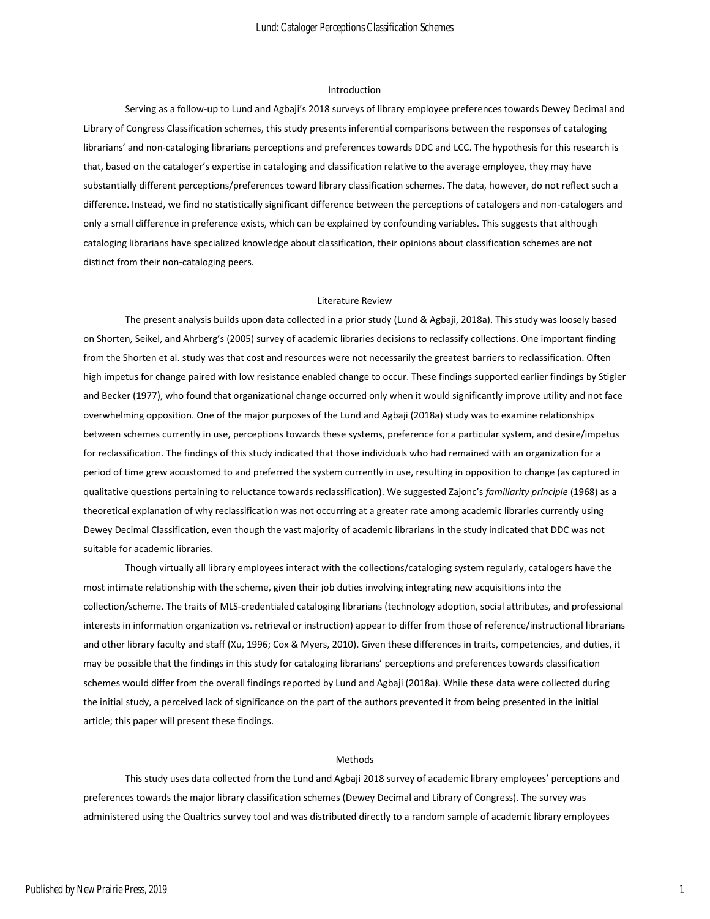#### Introduction

Serving as a follow-up to Lund and Agbaji's 2018 surveys of library employee preferences towards Dewey Decimal and Library of Congress Classification schemes, this study presents inferential comparisons between the responses of cataloging librarians' and non-cataloging librarians perceptions and preferences towards DDC and LCC. The hypothesis for this research is that, based on the cataloger's expertise in cataloging and classification relative to the average employee, they may have substantially different perceptions/preferences toward library classification schemes. The data, however, do not reflect such a difference. Instead, we find no statistically significant difference between the perceptions of catalogers and non-catalogers and only a small difference in preference exists, which can be explained by confounding variables. This suggests that although cataloging librarians have specialized knowledge about classification, their opinions about classification schemes are not distinct from their non-cataloging peers.

#### Literature Review

The present analysis builds upon data collected in a prior study (Lund & Agbaji, 2018a). This study was loosely based on Shorten, Seikel, and Ahrberg's (2005) survey of academic libraries decisions to reclassify collections. One important finding from the Shorten et al. study was that cost and resources were not necessarily the greatest barriers to reclassification. Often high impetus for change paired with low resistance enabled change to occur. These findings supported earlier findings by Stigler and Becker (1977), who found that organizational change occurred only when it would significantly improve utility and not face overwhelming opposition. One of the major purposes of the Lund and Agbaji (2018a) study was to examine relationships between schemes currently in use, perceptions towards these systems, preference for a particular system, and desire/impetus for reclassification. The findings of this study indicated that those individuals who had remained with an organization for a period of time grew accustomed to and preferred the system currently in use, resulting in opposition to change (as captured in qualitative questions pertaining to reluctance towards reclassification). We suggested Zajonc's *familiarity principle* (1968) as a theoretical explanation of why reclassification was not occurring at a greater rate among academic libraries currently using Dewey Decimal Classification, even though the vast majority of academic librarians in the study indicated that DDC was not suitable for academic libraries.

Though virtually all library employees interact with the collections/cataloging system regularly, catalogers have the most intimate relationship with the scheme, given their job duties involving integrating new acquisitions into the collection/scheme. The traits of MLS-credentialed cataloging librarians (technology adoption, social attributes, and professional interests in information organization vs. retrieval or instruction) appear to differ from those of reference/instructional librarians and other library faculty and staff (Xu, 1996; Cox & Myers, 2010). Given these differences in traits, competencies, and duties, it may be possible that the findings in this study for cataloging librarians' perceptions and preferences towards classification schemes would differ from the overall findings reported by Lund and Agbaji (2018a). While these data were collected during the initial study, a perceived lack of significance on the part of the authors prevented it from being presented in the initial article; this paper will present these findings.

#### Methods

This study uses data collected from the Lund and Agbaji 2018 survey of academic library employees' perceptions and preferences towards the major library classification schemes (Dewey Decimal and Library of Congress). The survey was administered using the Qualtrics survey tool and was distributed directly to a random sample of academic library employees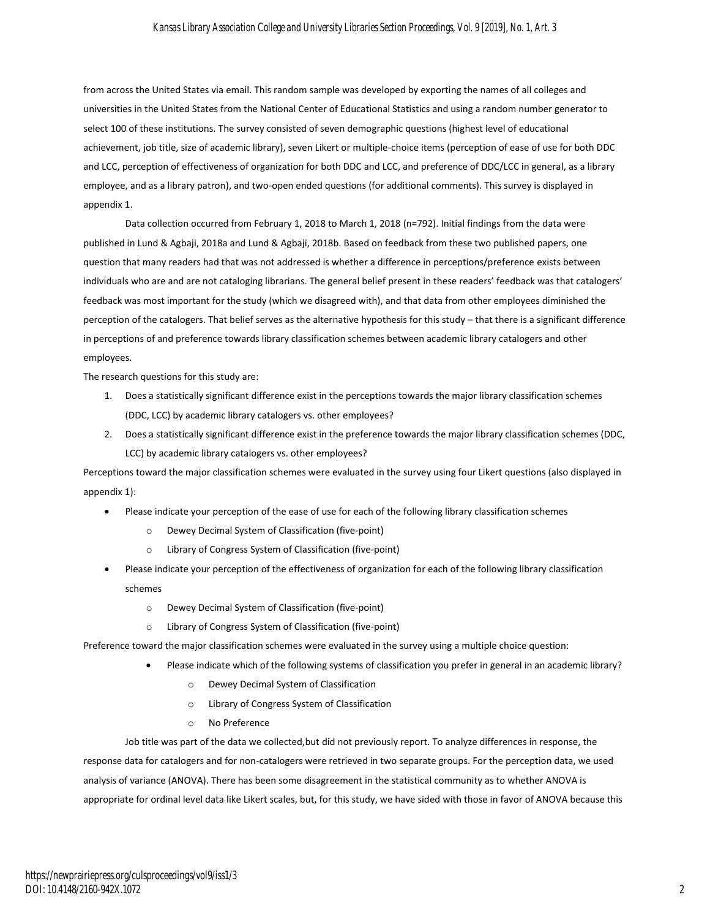#### *Kansas Library Association College and University Libraries Section Proceedings, Vol. 9 [2019], No. 1, Art. 3*

from across the United States via email. This random sample was developed by exporting the names of all colleges and universities in the United States from the National Center of Educational Statistics and using a random number generator to select 100 of these institutions. The survey consisted of seven demographic questions (highest level of educational achievement, job title, size of academic library), seven Likert or multiple-choice items (perception of ease of use for both DDC and LCC, perception of effectiveness of organization for both DDC and LCC, and preference of DDC/LCC in general, as a library employee, and as a library patron), and two-open ended questions (for additional comments). This survey is displayed in appendix 1.

Data collection occurred from February 1, 2018 to March 1, 2018 (n=792). Initial findings from the data were published in Lund & Agbaji, 2018a and Lund & Agbaji, 2018b. Based on feedback from these two published papers, one question that many readers had that was not addressed is whether a difference in perceptions/preference exists between individuals who are and are not cataloging librarians. The general belief present in these readers' feedback was that catalogers' feedback was most important for the study (which we disagreed with), and that data from other employees diminished the perception of the catalogers. That belief serves as the alternative hypothesis for this study – that there is a significant difference in perceptions of and preference towards library classification schemes between academic library catalogers and other employees.

The research questions for this study are:

- 1. Does a statistically significant difference exist in the perceptions towards the major library classification schemes (DDC, LCC) by academic library catalogers vs. other employees?
- 2. Does a statistically significant difference exist in the preference towards the major library classification schemes (DDC, LCC) by academic library catalogers vs. other employees?

Perceptions toward the major classification schemes were evaluated in the survey using four Likert questions (also displayed in appendix 1):

- Please indicate your perception of the ease of use for each of the following library classification schemes
	- o Dewey Decimal System of Classification (five-point)
	- o Library of Congress System of Classification (five-point)
- Please indicate your perception of the effectiveness of organization for each of the following library classification schemes
	- o Dewey Decimal System of Classification (five-point)
	- o Library of Congress System of Classification (five-point)

Preference toward the major classification schemes were evaluated in the survey using a multiple choice question:

- Please indicate which of the following systems of classification you prefer in general in an academic library?
	- o Dewey Decimal System of Classification
	- o Library of Congress System of Classification
	- o No Preference

Job title was part of the data we collected,but did not previously report. To analyze differences in response, the response data for catalogers and for non-catalogers were retrieved in two separate groups. For the perception data, we used analysis of variance (ANOVA). There has been some disagreement in the statistical community as to whether ANOVA is appropriate for ordinal level data like Likert scales, but, for this study, we have sided with those in favor of ANOVA because this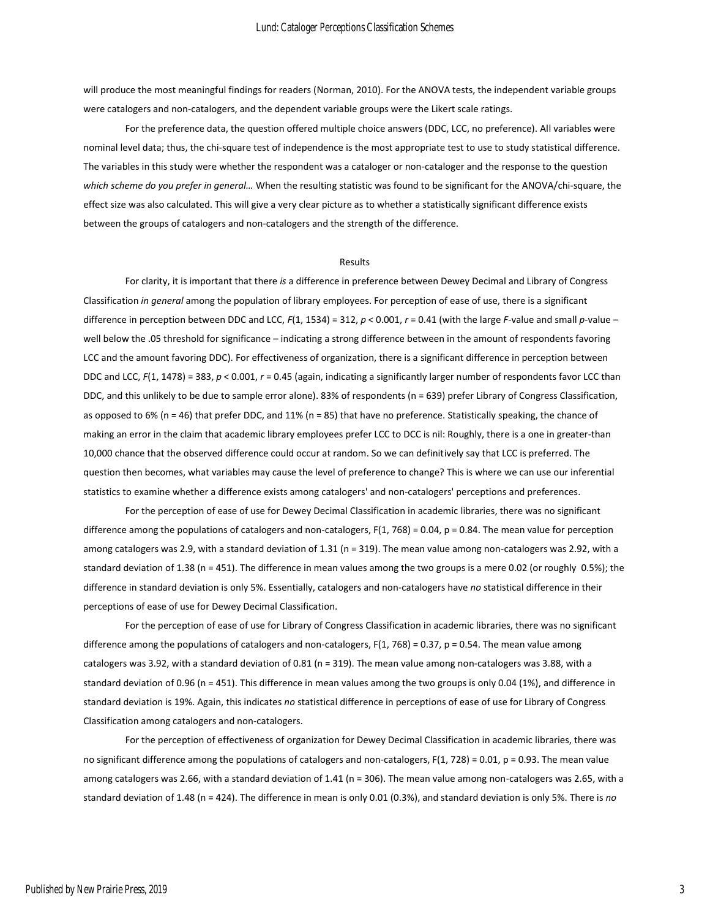will produce the most meaningful findings for readers (Norman, 2010). For the ANOVA tests, the independent variable groups were catalogers and non-catalogers, and the dependent variable groups were the Likert scale ratings.

For the preference data, the question offered multiple choice answers (DDC, LCC, no preference). All variables were nominal level data; thus, the chi-square test of independence is the most appropriate test to use to study statistical difference. The variables in this study were whether the respondent was a cataloger or non-cataloger and the response to the question *which scheme do you prefer in general…* When the resulting statistic was found to be significant for the ANOVA/chi-square, the effect size was also calculated. This will give a very clear picture as to whether a statistically significant difference exists between the groups of catalogers and non-catalogers and the strength of the difference.

#### Results

For clarity, it is important that there *is* a difference in preference between Dewey Decimal and Library of Congress Classification *in general* among the population of library employees. For perception of ease of use, there is a significant difference in perception between DDC and LCC, *F*(1, 1534) = 312, *p* < 0.001, *r* = 0.41 (with the large *F*-value and small *p*-value – well below the .05 threshold for significance – indicating a strong difference between in the amount of respondents favoring LCC and the amount favoring DDC). For effectiveness of organization, there is a significant difference in perception between DDC and LCC, *F*(1, 1478) = 383, *p* < 0.001, *r* = 0.45 (again, indicating a significantly larger number of respondents favor LCC than DDC, and this unlikely to be due to sample error alone). 83% of respondents (n = 639) prefer Library of Congress Classification, as opposed to 6% (n = 46) that prefer DDC, and 11% (n = 85) that have no preference. Statistically speaking, the chance of making an error in the claim that academic library employees prefer LCC to DCC is nil: Roughly, there is a one in greater-than 10,000 chance that the observed difference could occur at random. So we can definitively say that LCC is preferred. The question then becomes, what variables may cause the level of preference to change? This is where we can use our inferential statistics to examine whether a difference exists among catalogers' and non-catalogers' perceptions and preferences.

For the perception of ease of use for Dewey Decimal Classification in academic libraries, there was no significant difference among the populations of catalogers and non-catalogers,  $F(1, 768) = 0.04$ ,  $p = 0.84$ . The mean value for perception among catalogers was 2.9, with a standard deviation of 1.31 (n = 319). The mean value among non-catalogers was 2.92, with a standard deviation of 1.38 (n = 451). The difference in mean values among the two groups is a mere 0.02 (or roughly 0.5%); the difference in standard deviation is only 5%. Essentially, catalogers and non-catalogers have *no* statistical difference in their perceptions of ease of use for Dewey Decimal Classification.

For the perception of ease of use for Library of Congress Classification in academic libraries, there was no significant difference among the populations of catalogers and non-catalogers, F(1, 768) = 0.37, p = 0.54. The mean value among catalogers was 3.92, with a standard deviation of 0.81 (n = 319). The mean value among non-catalogers was 3.88, with a standard deviation of 0.96 (n = 451). This difference in mean values among the two groups is only 0.04 (1%), and difference in standard deviation is 19%. Again, this indicates *no* statistical difference in perceptions of ease of use for Library of Congress Classification among catalogers and non-catalogers.

For the perception of effectiveness of organization for Dewey Decimal Classification in academic libraries, there was no significant difference among the populations of catalogers and non-catalogers, F(1, 728) = 0.01, p = 0.93. The mean value among catalogers was 2.66, with a standard deviation of 1.41 (n = 306). The mean value among non-catalogers was 2.65, with a standard deviation of 1.48 (n = 424). The difference in mean is only 0.01 (0.3%), and standard deviation is only 5%. There is *no*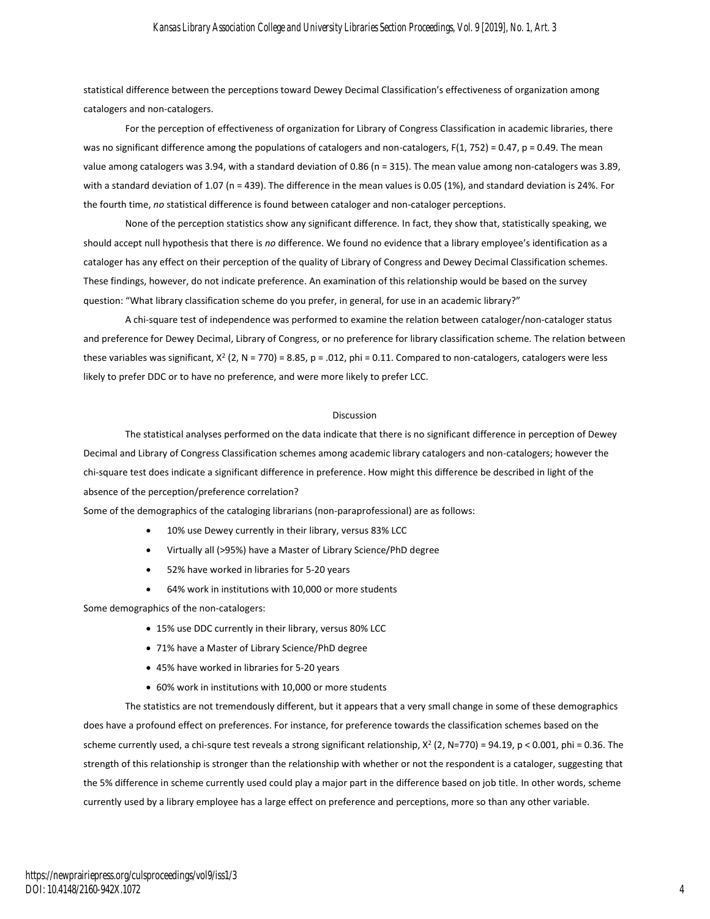statistical difference between the perceptions toward Dewey Decimal Classification's effectiveness of organization among catalogers and non-catalogers.

For the perception of effectiveness of organization for Library of Congress Classification in academic libraries, there was no significant difference among the populations of catalogers and non-catalogers,  $F(1, 752) = 0.47$ ,  $p = 0.49$ . The mean value among catalogers was 3.94, with a standard deviation of 0.86 (n = 315). The mean value among non-catalogers was 3.89, with a standard deviation of 1.07 (n = 439). The difference in the mean values is 0.05 (1%), and standard deviation is 24%. For the fourth time, *no* statistical difference is found between cataloger and non-cataloger perceptions.

None of the perception statistics show any significant difference. In fact, they show that, statistically speaking, we should accept null hypothesis that there is *no* difference. We found no evidence that a library employee's identification as a cataloger has any effect on their perception of the quality of Library of Congress and Dewey Decimal Classification schemes. These findings, however, do not indicate preference. An examination of this relationship would be based on the survey question: "What library classification scheme do you prefer, in general, for use in an academic library?"

A chi-square test of independence was performed to examine the relation between cataloger/non-cataloger status and preference for Dewey Decimal, Library of Congress, or no preference for library classification scheme. The relation between these variables was significant,  $X^2$  (2, N = 770) = 8.85, p = .012, phi = 0.11. Compared to non-catalogers, catalogers were less likely to prefer DDC or to have no preference, and were more likely to prefer LCC.

#### Discussion

The statistical analyses performed on the data indicate that there is no significant difference in perception of Dewey Decimal and Library of Congress Classification schemes among academic library catalogers and non-catalogers; however the chi-square test does indicate a significant difference in preference. How might this difference be described in light of the absence of the perception/preference correlation?

Some of the demographics of the cataloging librarians (non-paraprofessional) are as follows:

- 10% use Dewey currently in their library, versus 83% LCC
- Virtually all (>95%) have a Master of Library Science/PhD degree
- 52% have worked in libraries for 5-20 years
- 64% work in institutions with 10,000 or more students

Some demographics of the non-catalogers:

- 15% use DDC currently in their library, versus 80% LCC
- 71% have a Master of Library Science/PhD degree
- 45% have worked in libraries for 5-20 years
- 60% work in institutions with 10,000 or more students

The statistics are not tremendously different, but it appears that a very small change in some of these demographics does have a profound effect on preferences. For instance, for preference towards the classification schemes based on the scheme currently used, a chi-squre test reveals a strong significant relationship, X<sup>2</sup> (2, N=770) = 94.19, p < 0.001, phi = 0.36. The strength of this relationship is stronger than the relationship with whether or not the respondent is a cataloger, suggesting that the 5% difference in scheme currently used could play a major part in the difference based on job title. In other words, scheme currently used by a library employee has a large effect on preference and perceptions, more so than any other variable.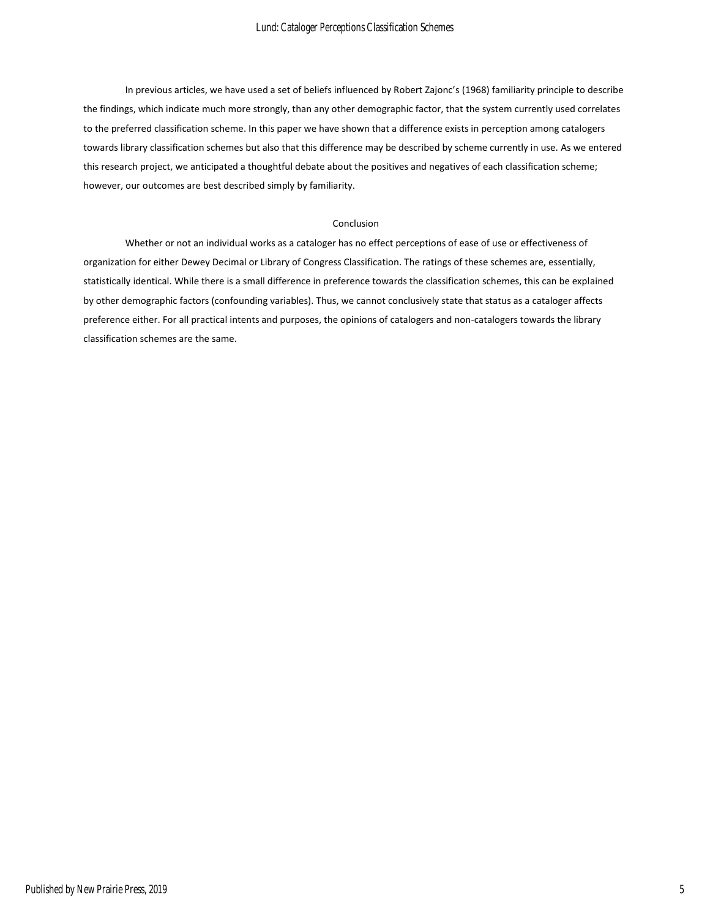In previous articles, we have used a set of beliefs influenced by Robert Zajonc's (1968) familiarity principle to describe the findings, which indicate much more strongly, than any other demographic factor, that the system currently used correlates to the preferred classification scheme. In this paper we have shown that a difference exists in perception among catalogers towards library classification schemes but also that this difference may be described by scheme currently in use. As we entered this research project, we anticipated a thoughtful debate about the positives and negatives of each classification scheme; however, our outcomes are best described simply by familiarity.

#### Conclusion

Whether or not an individual works as a cataloger has no effect perceptions of ease of use or effectiveness of organization for either Dewey Decimal or Library of Congress Classification. The ratings of these schemes are, essentially, statistically identical. While there is a small difference in preference towards the classification schemes, this can be explained by other demographic factors (confounding variables). Thus, we cannot conclusively state that status as a cataloger affects preference either. For all practical intents and purposes, the opinions of catalogers and non-catalogers towards the library classification schemes are the same.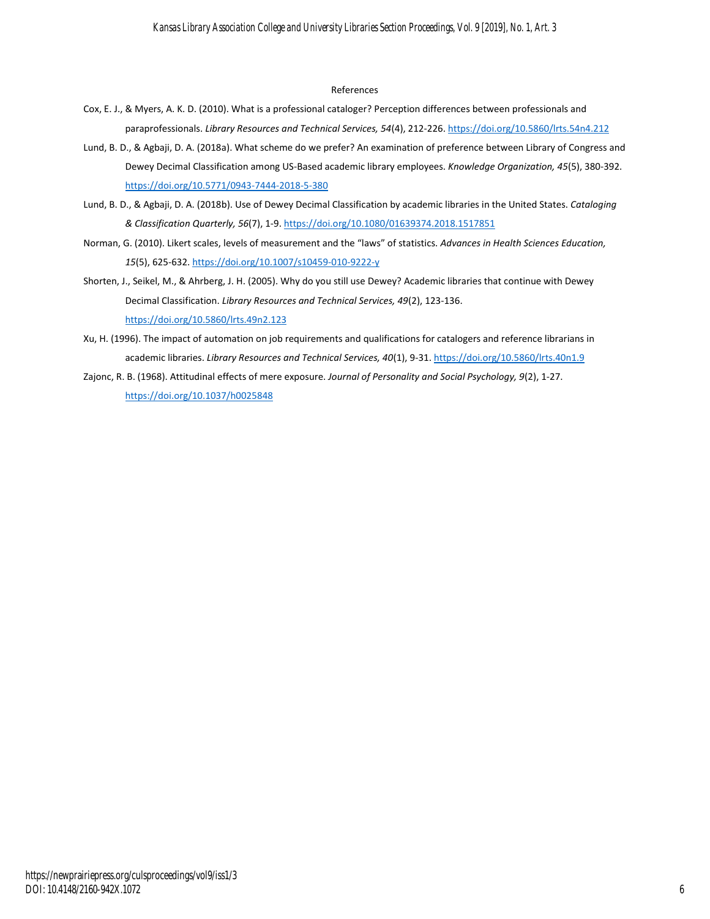#### References

- Cox, E. J., & Myers, A. K. D. (2010). What is a professional cataloger? Perception differences between professionals and paraprofessionals. *Library Resources and Technical Services, 54*(4), 212-226[. https://doi.org/10.5860/lrts.54n4.212](https://doi.org/10.5860/lrts.54n4.212)
- Lund, B. D., & Agbaji, D. A. (2018a). What scheme do we prefer? An examination of preference between Library of Congress and Dewey Decimal Classification among US-Based academic library employees. *Knowledge Organization, 45*(5), 380-392. <https://doi.org/10.5771/0943-7444-2018-5-380>
- Lund, B. D., & Agbaji, D. A. (2018b). Use of Dewey Decimal Classification by academic libraries in the United States. *Cataloging & Classification Quarterly, 56*(7), 1-9. <https://doi.org/10.1080/01639374.2018.1517851>
- Norman, G. (2010). Likert scales, levels of measurement and the "laws" of statistics. *Advances in Health Sciences Education, 15*(5), 625-632.<https://doi.org/10.1007/s10459-010-9222-y>
- Shorten, J., Seikel, M., & Ahrberg, J. H. (2005). Why do you still use Dewey? Academic libraries that continue with Dewey Decimal Classification. *Library Resources and Technical Services, 49*(2), 123-136. <https://doi.org/10.5860/lrts.49n2.123>
- Xu, H. (1996). The impact of automation on job requirements and qualifications for catalogers and reference librarians in academic libraries. *Library Resources and Technical Services, 40*(1), 9-31[. https://doi.org/10.5860/lrts.40n1.9](https://doi.org/10.5860/lrts.40n1.9)
- Zajonc, R. B. (1968). Attitudinal effects of mere exposure. *Journal of Personality and Social Psychology, 9*(2), 1-27. <https://doi.org/10.1037/h0025848>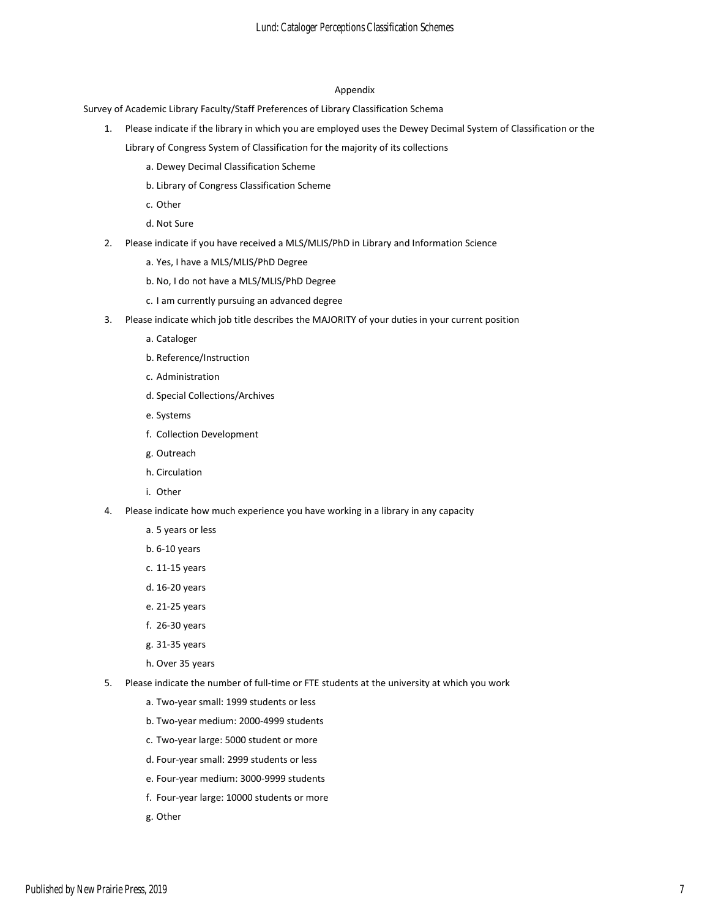#### Appendix

Survey of Academic Library Faculty/Staff Preferences of Library Classification Schema

- 1. Please indicate if the library in which you are employed uses the Dewey Decimal System of Classification or the Library of Congress System of Classification for the majority of its collections
	- a. Dewey Decimal Classification Scheme
	- b. Library of Congress Classification Scheme
	- c. Other
	- d. Not Sure
- 2. Please indicate if you have received a MLS/MLIS/PhD in Library and Information Science
	- a. Yes, I have a MLS/MLIS/PhD Degree
	- b. No, I do not have a MLS/MLIS/PhD Degree
	- c. I am currently pursuing an advanced degree
- 3. Please indicate which job title describes the MAJORITY of your duties in your current position
	- a. Cataloger
	- b. Reference/Instruction
	- c. Administration
	- d. Special Collections/Archives
	- e. Systems
	- f. Collection Development
	- g. Outreach
	- h. Circulation
	- i. Other
- 4. Please indicate how much experience you have working in a library in any capacity
	- a. 5 years or less
	- b. 6-10 years
	- c. 11-15 years
	- d. 16-20 years
	- e. 21-25 years
	- f. 26-30 years
	- g. 31-35 years
	- h. Over 35 years
- 5. Please indicate the number of full-time or FTE students at the university at which you work
	- a. Two-year small: 1999 students or less
	- b. Two-year medium: 2000-4999 students
	- c. Two-year large: 5000 student or more
	- d. Four-year small: 2999 students or less
	- e. Four-year medium: 3000-9999 students
	- f. Four-year large: 10000 students or more
	- g. Other